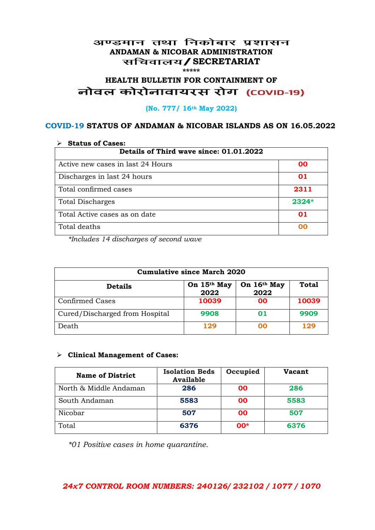## अण्डमान तथा निकोबार प्रशासन **ANDAMAN & NICOBAR ADMINISTRATION /SECRETARIAT \*\*\*\*\***

# HEALTH BULLETIN FOR CONTAINMENT OF<br>बोवल कोरोनावायरस रोग (COVID-19)

## **(No. 777/ 16th May 2022)**

## **COVID-19 STATUS OF ANDAMAN & NICOBAR ISLANDS AS ON 16.05.2022**

| <b>Status of Cases:</b>                 |         |  |
|-----------------------------------------|---------|--|
| Details of Third wave since: 01.01.2022 |         |  |
| Active new cases in last 24 Hours       | 00      |  |
| Discharges in last 24 hours             | 01      |  |
| Total confirmed cases                   | 2311    |  |
| <b>Total Discharges</b>                 | $2324*$ |  |
| Total Active cases as on date           | 01      |  |
| Total deaths                            | OO      |  |

*\*Includes 14 discharges of second wave*

| <b>Cumulative since March 2020</b> |                     |                     |              |
|------------------------------------|---------------------|---------------------|--------------|
| <b>Details</b>                     | On 15th May<br>2022 | On 16th May<br>2022 | <b>Total</b> |
| <b>Confirmed Cases</b>             | 10039               | 00                  | 10039        |
| Cured/Discharged from Hospital     | 9908                | 01                  | 9909         |
| Death                              | 129                 | ററ                  | 129          |

#### **Clinical Management of Cases:**

| <b>Name of District</b> | <b>Isolation Beds</b><br><b>Available</b> | Occupied  | Vacant |
|-------------------------|-------------------------------------------|-----------|--------|
| North & Middle Andaman  | 286                                       | <b>OO</b> | 286    |
| South Andaman           | 5583                                      | 00        | 5583   |
| Nicobar                 | 507                                       | <b>OO</b> | 507    |
| Total                   | 6376                                      | $00*$     | 6376   |

*\*01 Positive cases in home quarantine.*

# *24x7 CONTROL ROOM NUMBERS: 240126/ 232102 / 1077 / 1070*